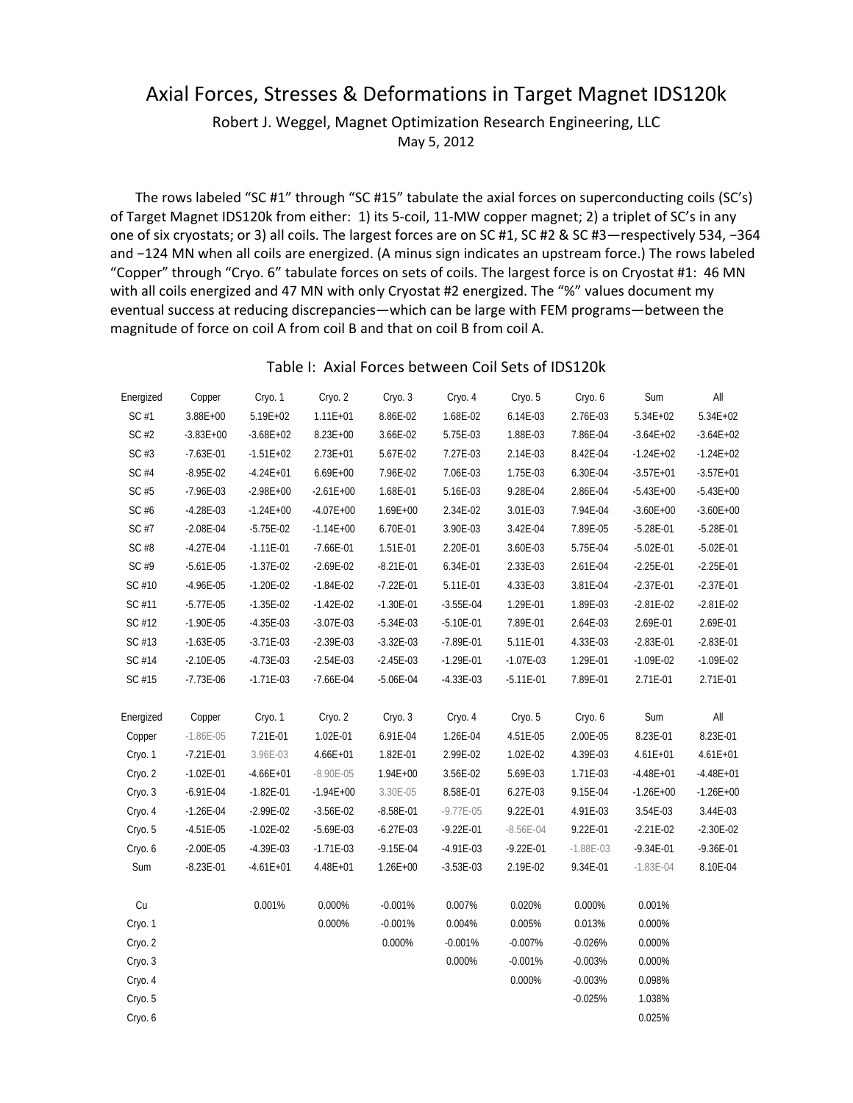## Axial Forces, Stresses & Deformations in Target Magnet IDS120k

Robert J. Weggel, Magnet Optimization Research Engineering, LLC May 5, 2012

The rows labeled "SC #1" through "SC #15" tabulate the axial forces on superconducting coils (SC's) of Target Magnet IDS120k from either: 1) its 5‐coil, 11‐MW copper magnet; 2) a triplet of SC's in any one of six cryostats; or 3) all coils. The largest forces are on SC #1, SC #2 & SC #3—respectively 534, −364 and −124 MN when all coils are energized. (A minus sign indicates an upstream force.) The rows labeled "Copper" through "Cryo. 6" tabulate forces on sets of coils. The largest force is on Cryostat #1: 46 MN with all coils energized and 47 MN with only Cryostat #2 energized. The "%" values document my eventual success at reducing discrepancies—which can be large with FEM programs—between the magnitude of force on coil A from coil B and that on coil B from coil A.

## Table I: Axial Forces between Coil Sets of IDS120k

| Energized | Copper        | Cryo. 1       | Cryo. 2       | Cryo. 3       | Cryo. 4       | Cryo. 5       | Cryo. 6       | Sum           | All           |
|-----------|---------------|---------------|---------------|---------------|---------------|---------------|---------------|---------------|---------------|
| SC #1     | $3.88E + 00$  | $5.19E + 02$  | $1.11E + 01$  | 8.86E-02      | 1.68E-02      | 6.14E-03      | 2.76E-03      | $5.34E + 02$  | 5.34E+02      |
| SC #2     | $-3.83E + 00$ | $-3.68E + 02$ | $8.23E + 00$  | 3.66E-02      | 5.75E-03      | 1.88E-03      | 7.86E-04      | $-3.64E + 02$ | $-3.64E + 02$ |
| SC #3     | $-7.63E - 01$ | $-1.51E+02$   | $2.73E + 01$  | 5.67E-02      | 7.27E-03      | 2.14E-03      | 8.42E-04      | $-1.24E + 02$ | $-1.24E + 02$ |
| SC #4     | $-8.95E - 02$ | $-4.24E + 01$ | $6.69E + 00$  | 7.96E-02      | 7.06E-03      | 1.75E-03      | 6.30E-04      | $-3.57E + 01$ | $-3.57E + 01$ |
| SC #5     | $-7.96E - 03$ | $-2.98E + 00$ | $-2.61E + 00$ | 1.68E-01      | 5.16E-03      | 9.28E-04      | 2.86E-04      | $-5.43E + 00$ | $-5.43E + 00$ |
| SC #6     | $-4.28E - 03$ | $-1.24E + 00$ | $-4.07E + 00$ | $1.69E + 00$  | 2.34E-02      | 3.01E-03      | 7.94E-04      | $-3.60E + 00$ | $-3.60E + 00$ |
| SC #7     | $-2.08E - 04$ | $-5.75E - 02$ | $-1.14E + 00$ | 6.70E-01      | 3.90E-03      | 3.42E-04      | 7.89E-05      | $-5.28E - 01$ | $-5.28E - 01$ |
| SC #8     | $-4.27E - 04$ | $-1.11E-01$   | $-7.66E - 01$ | 1.51E-01      | 2.20E-01      | 3.60E-03      | 5.75E-04      | $-5.02E - 01$ | $-5.02E - 01$ |
| SC #9     | $-5.61E - 05$ | $-1.37E-02$   | $-2.69E-02$   | $-8.21E - 01$ | 6.34E-01      | 2.33E-03      | 2.61E-04      | $-2.25E-01$   | $-2.25E-01$   |
| SC #10    | $-4.96E - 05$ | $-1.20E - 02$ | $-1.84E - 02$ | $-7.22E - 01$ | 5.11E-01      | 4.33E-03      | 3.81E-04      | $-2.37E-01$   | $-2.37E-01$   |
| SC #11    | $-5.77E - 05$ | $-1.35E-02$   | $-1.42E - 02$ | $-1.30E - 01$ | $-3.55E-04$   | 1.29E-01      | 1.89E-03      | $-2.81E - 02$ | $-2.81E - 02$ |
| SC #12    | $-1.90E - 05$ | $-4.35E-03$   | $-3.07E-03$   | $-5.34E - 03$ | $-5.10E - 01$ | 7.89E-01      | 2.64E-03      | 2.69E-01      | 2.69E-01      |
| SC #13    | $-1.63E - 05$ | $-3.71E-03$   | $-2.39E-03$   | $-3.32E - 03$ | $-7.89E - 01$ | 5.11E-01      | 4.33E-03      | $-2.83E - 01$ | $-2.83E - 01$ |
| SC #14    | $-2.10E - 05$ | $-4.73E-03$   | $-2.54E-03$   | $-2.45E - 03$ | $-1.29E - 01$ | $-1.07E - 03$ | 1.29E-01      | $-1.09E - 02$ | $-1.09E - 02$ |
| SC #15    | $-7.73E - 06$ | $-1.71E-03$   | $-7.66E - 04$ | $-5.06E - 04$ | $-4.33E-03$   | $-5.11E - 01$ | 7.89E-01      | 2.71E-01      | 2.71E-01      |
| Energized | Copper        | Cryo. 1       | Cryo. 2       | Cryo. 3       | Cryo. 4       | Cryo. 5       | Cryo. 6       | Sum           | All           |
| Copper    | $-1.86E - 05$ | 7.21E-01      | 1.02E-01      | 6.91E-04      | 1.26E-04      | 4.51E-05      | 2.00E-05      | 8.23E-01      | 8.23E-01      |
| Cryo. 1   | $-7.21E - 01$ | 3.96E-03      | $4.66E + 01$  | 1.82E-01      | 2.99E-02      | 1.02E-02      | 4.39E-03      | $4.61E + 01$  | $4.61E + 01$  |
| Cryo. 2   | $-1.02E - 01$ | $-4.66E + 01$ | $-8.90E - 05$ | $1.94E + 00$  | 3.56E-02      | 5.69E-03      | 1.71E-03      | $-4.48E + 01$ | $-4.48E + 01$ |
| Cryo. 3   | $-6.91E - 04$ | $-1.82E - 01$ | $-1.94E + 00$ | 3.30E-05      | 8.58E-01      | 6.27E-03      | 9.15E-04      | $-1.26E + 00$ | $-1.26E + 00$ |
| Cryo. 4   | $-1.26E - 04$ | $-2.99E - 02$ | $-3.56E-02$   | $-8.58E - 01$ | $-9.77E - 05$ | 9.22E-01      | 4.91E-03      | 3.54E-03      | 3.44E-03      |
| Cryo. 5   | $-4.51E-05$   | $-1.02E - 02$ | $-5.69E-03$   | $-6.27E-03$   | $-9.22E - 01$ | $-8.56E - 04$ | 9.22E-01      | $-2.21E - 02$ | $-2.30E - 02$ |
| Cryo. 6   | $-2.00E - 05$ | $-4.39E - 03$ | $-1.71E-03$   | $-9.15E - 04$ | $-4.91E - 03$ | $-9.22E - 01$ | $-1.88E - 03$ | $-9.34E - 01$ | $-9.36E - 01$ |
| Sum       | $-8.23E - 01$ | $-4.61E + 01$ | 4.48E+01      | $1.26E + 00$  | $-3.53E-03$   | 2.19E-02      | 9.34E-01      | $-1.83E - 04$ | 8.10E-04      |
| Cu        |               | 0.001%        | 0.000%        | $-0.001%$     | 0.007%        | 0.020%        | 0.000%        | 0.001%        |               |
| Cryo. 1   |               |               | 0.000%        | $-0.001%$     | 0.004%        | 0.005%        | 0.013%        | 0.000%        |               |
| Cryo. 2   |               |               |               | 0.000%        | $-0.001%$     | $-0.007%$     | $-0.026%$     | 0.000%        |               |
| Cryo. 3   |               |               |               |               | 0.000%        | $-0.001%$     | $-0.003%$     | 0.000%        |               |
| Cryo. 4   |               |               |               |               |               | 0.000%        | $-0.003%$     | 0.098%        |               |
| Cryo. 5   |               |               |               |               |               |               | $-0.025%$     | 1.038%        |               |
| Cryo. 6   |               |               |               |               |               |               |               | 0.025%        |               |
|           |               |               |               |               |               |               |               |               |               |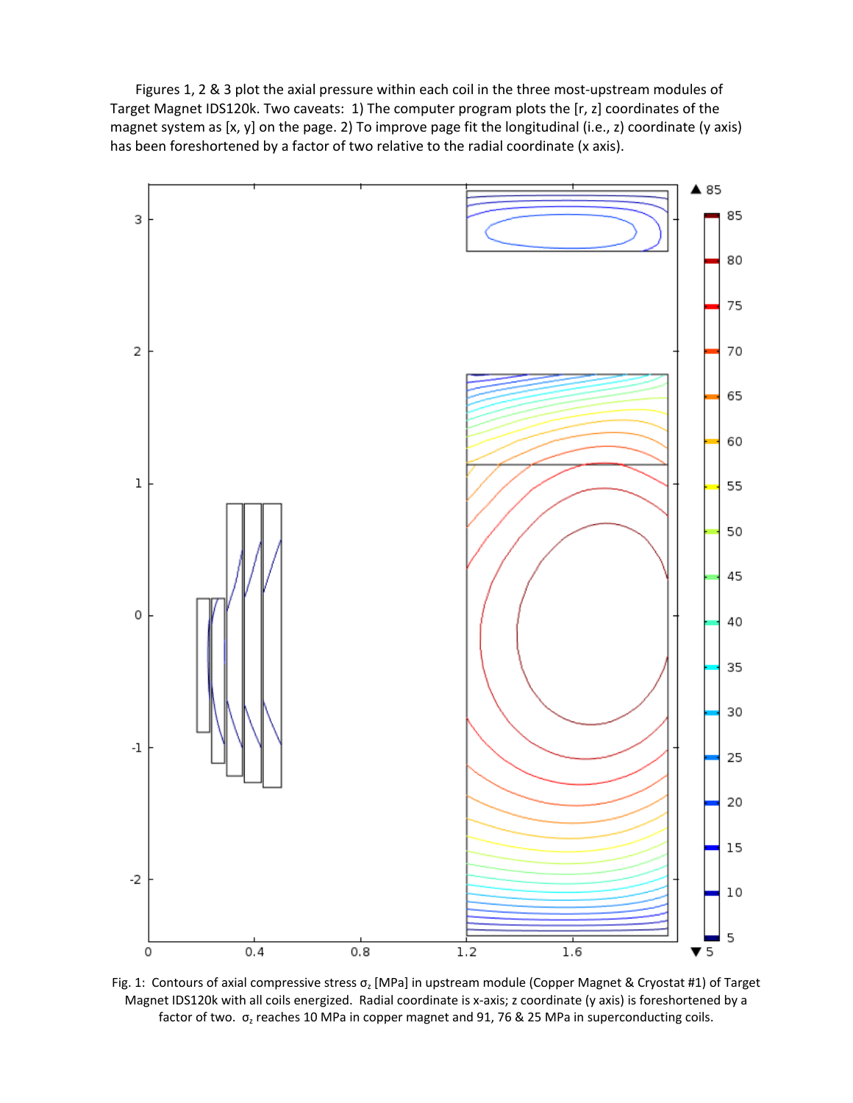Figures 1, 2 & 3 plot the axial pressure within each coil in the three most-upstream modules of Target Magnet IDS120k. Two caveats: 1) The computer program plots the [r, z] coordinates of the magnet system as [x, y] on the page. 2) To improve page fit the longitudinal (i.e., z) coordinate (y axis) has been foreshortened by a factor of two relative to the radial coordinate (x axis).



Fig. 1: Contours of axial compressive stress  $\sigma_z$  [MPa] in upstream module (Copper Magnet & Cryostat #1) of Target Magnet IDS120k with all coils energized. Radial coordinate is x‐axis; z coordinate (y axis) is foreshortened by a factor of two.  $\sigma$ <sub>z</sub> reaches 10 MPa in copper magnet and 91, 76 & 25 MPa in superconducting coils.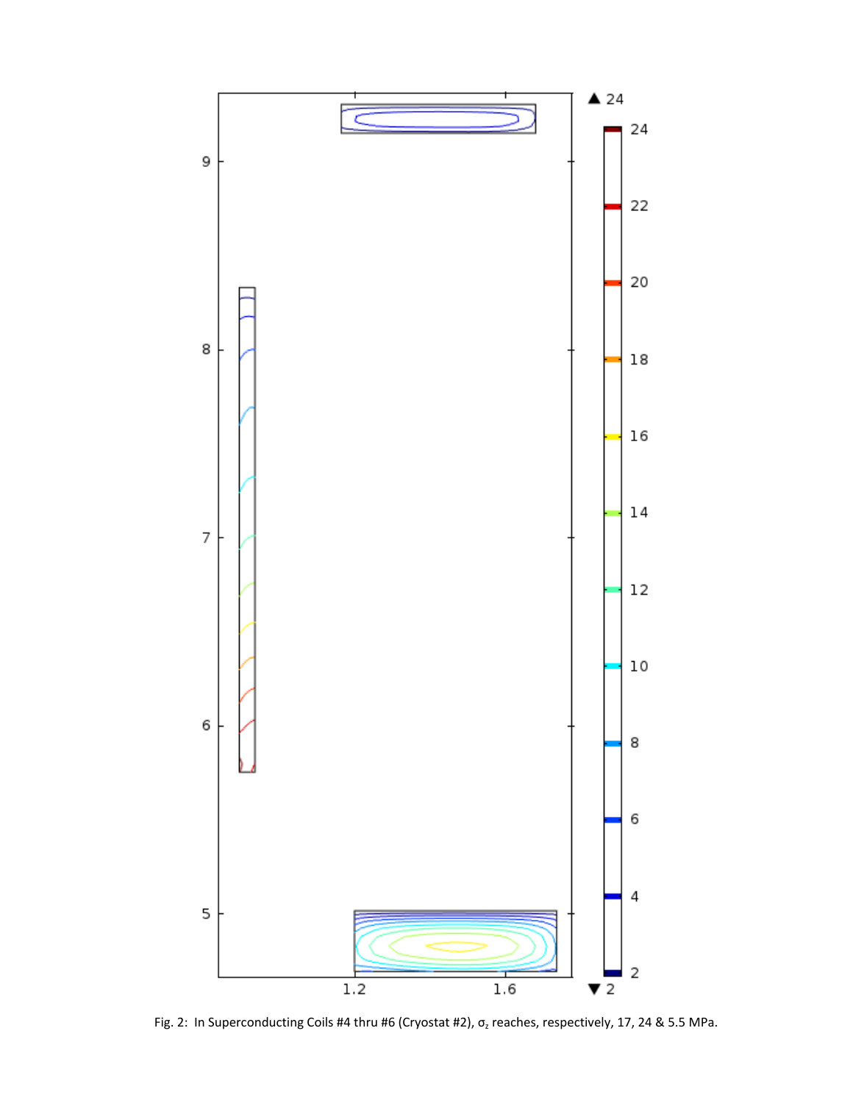

Fig. 2: In Superconducting Coils #4 thru #6 (Cryostat #2),  $\sigma$ <sub>z</sub> reaches, respectively, 17, 24 & 5.5 MPa.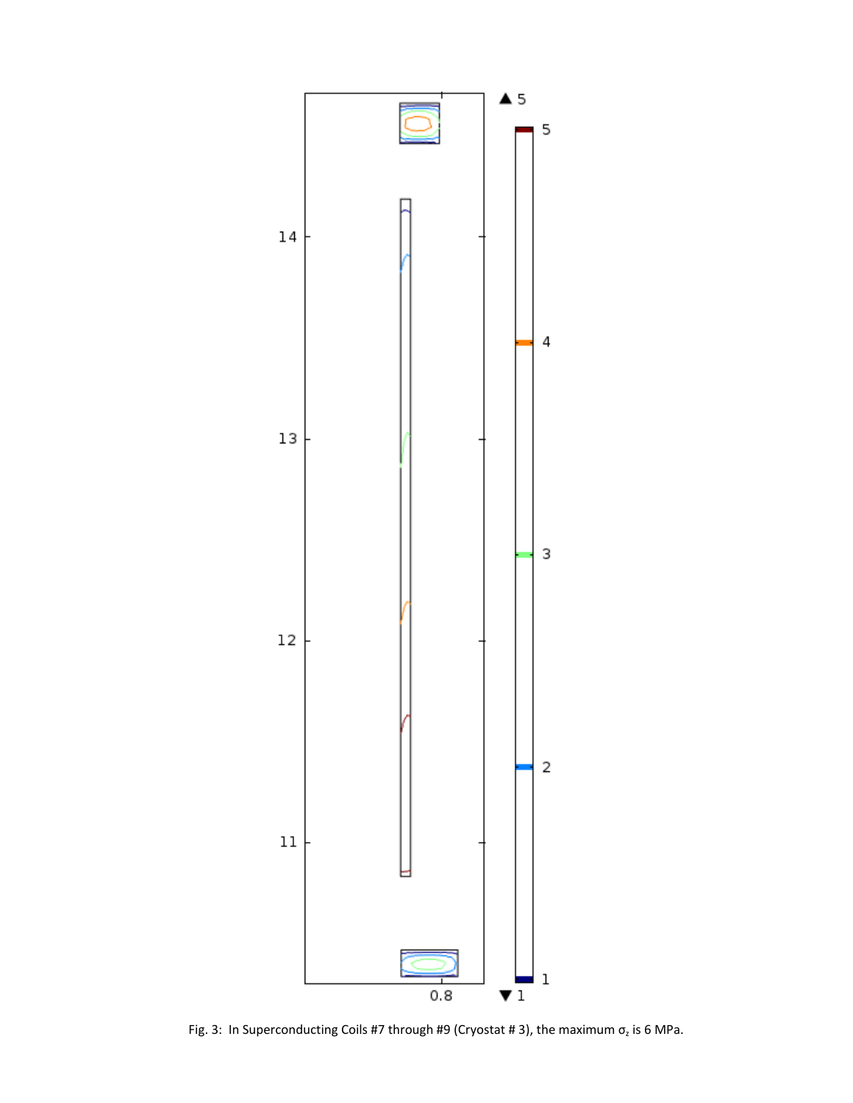

Fig. 3: In Superconducting Coils #7 through #9 (Cryostat #3), the maximum  $\sigma$ <sub>z</sub> is 6 MPa.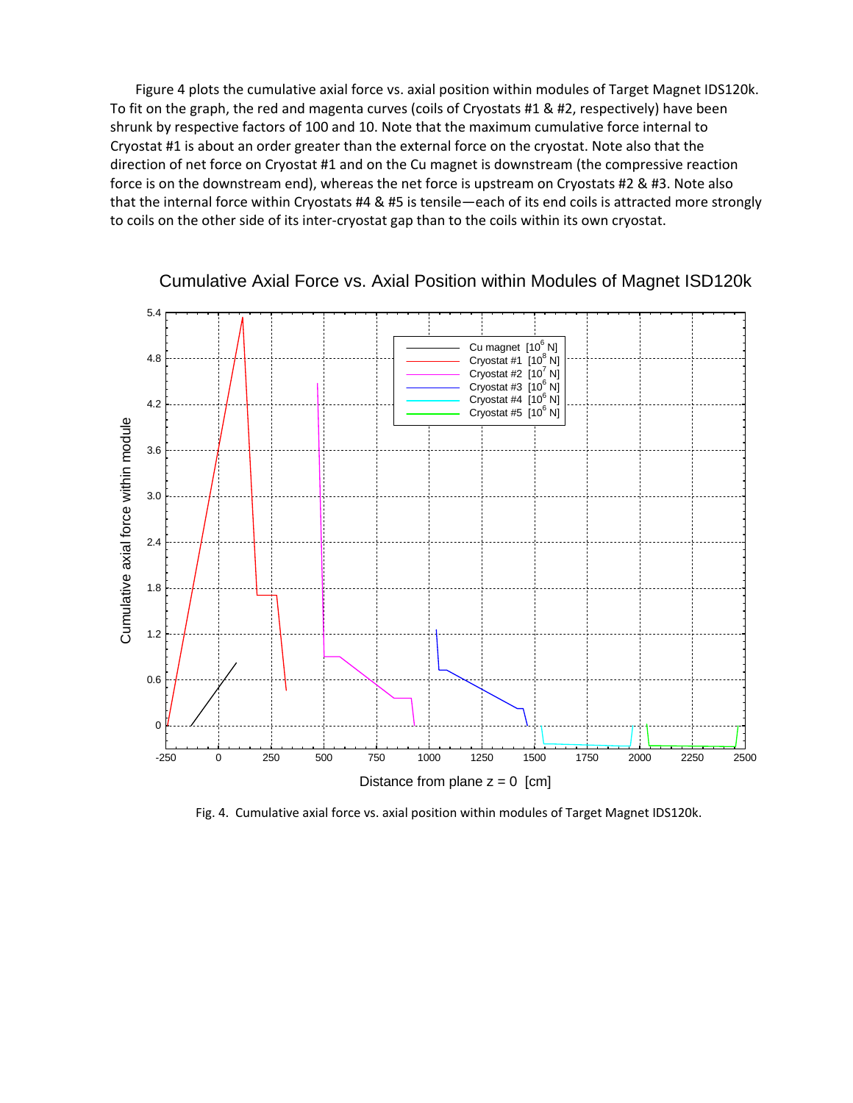Figure 4 plots the cumulative axial force vs. axial position within modules of Target Magnet IDS120k. To fit on the graph, the red and magenta curves (coils of Cryostats #1 & #2, respectively) have been shrunk by respective factors of 100 and 10. Note that the maximum cumulative force internal to Cryostat #1 is about an order greater than the external force on the cryostat. Note also that the direction of net force on Cryostat #1 and on the Cu magnet is downstream (the compressive reaction force is on the downstream end), whereas the net force is upstream on Cryostats #2 & #3. Note also that the internal force within Cryostats #4 & #5 is tensile—each of its end coils is attracted more strongly to coils on the other side of its inter‐cryostat gap than to the coils within its own cryostat.



## Cumulative Axial Force vs. Axial Position within Modules of Magnet ISD120k

Fig. 4. Cumulative axial force vs. axial position within modules of Target Magnet IDS120k.